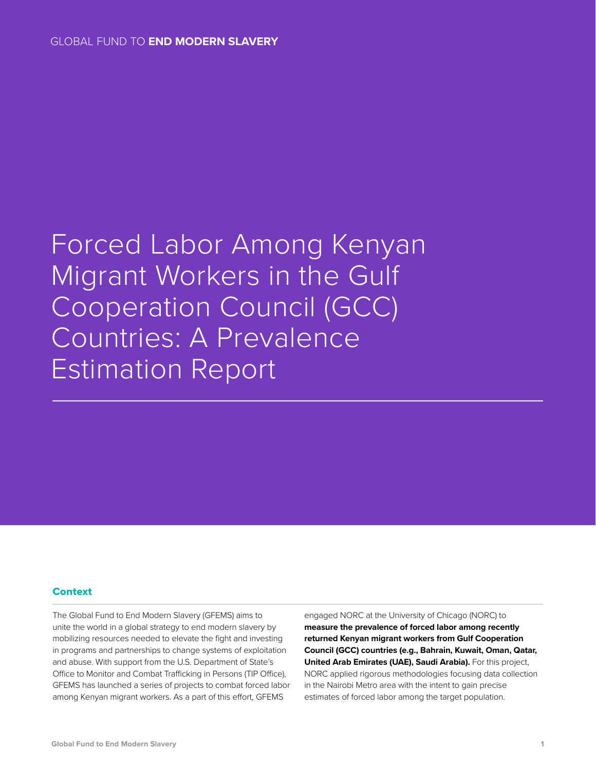# Forced Labor Among Kenyan Migrant Workers in the Gulf Cooperation Council (GCC) Countries: A Prevalence Estimation Report

## **Context**

The Global Fund to End Modern Slavery (GFEMS) aims to unite the world in a global strategy to end modern slavery by mobilizing resources needed to elevate the fight and investing in programs and partnerships to change systems of exploitation and abuse. With support from the U.S. Department of State's Office to Monitor and Combat Trafficking in Persons (TIP Office), GFEMS has launched a series of projects to combat forced labor among Kenyan migrant workers. As a part of this effort, GFEMS

engaged NORC at the University of Chicago (NORC) to **measure the prevalence of forced labor among recently returned Kenyan migrant workers from Gulf Cooperation Council (GCC) countries (e.g., Bahrain, Kuwait, Oman, Qatar, United Arab Emirates (UAE), Saudi Arabia).** For this project, NORC applied rigorous methodologies focusing data collection in the Nairobi Metro area with the intent to gain precise estimates of forced labor among the target population.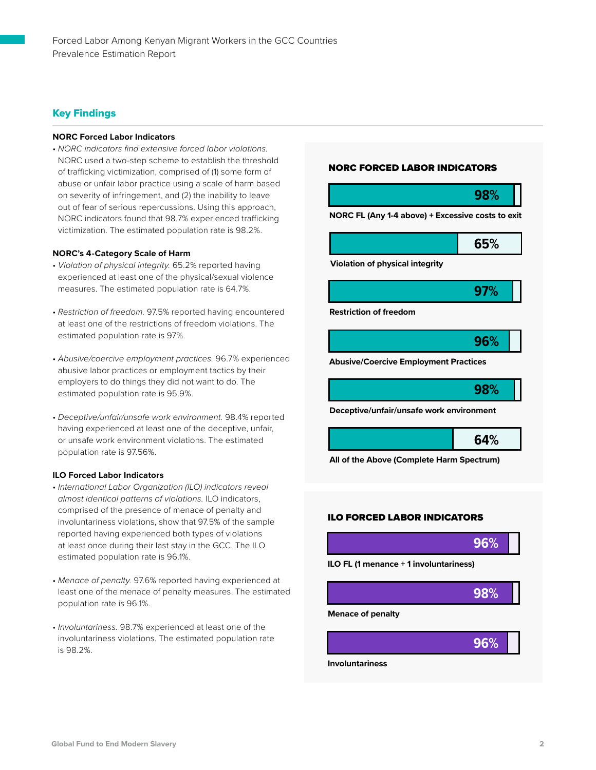# Key Findings

#### **NORC Forced Labor Indicators**

• *NORC indicators find extensive forced labor violations.* NORC used a two-step scheme to establish the threshold of trafficking victimization, comprised of (1) some form of abuse or unfair labor practice using a scale of harm based on severity of infringement, and (2) the inability to leave out of fear of serious repercussions. Using this approach, NORC indicators found that 98.7% experienced trafficking victimization. The estimated population rate is 98.2%.

#### **NORC's 4-Category Scale of Harm**

- *Violation of physical integrity.* 65.2% reported having experienced at least one of the physical/sexual violence measures. The estimated population rate is 64.7%.
- *Restriction of freedom.* 97.5% reported having encountered at least one of the restrictions of freedom violations. The estimated population rate is 97%.
- *Abusive/coercive employment practices.* 96.7% experienced abusive labor practices or employment tactics by their employers to do things they did not want to do. The estimated population rate is 95.9%.
- *Deceptive/unfair/unsafe work environment.* 98.4% reported having experienced at least one of the deceptive, unfair, or unsafe work environment violations. The estimated population rate is 97.56%.

#### **ILO Forced Labor Indicators**

- *International Labor Organization (ILO) indicators reveal almost identical patterns of violations.* ILO indicators, comprised of the presence of menace of penalty and involuntariness violations, show that 97.5% of the sample reported having experienced both types of violations at least once during their last stay in the GCC. The ILO estimated population rate is 96.1%.
- *Menace of penalty.* 97.6% reported having experienced at least one of the menace of penalty measures. The estimated population rate is 96.1%.
- *Involuntariness.* 98.7% experienced at least one of the involuntariness violations. The estimated population rate is 98.2%.

## NORC FORCED LABOR INDICATORS



**Deceptive/unfair/unsafe work environment**

**64%**

**All of the Above (Complete Harm Spectrum)**

## ILO FORCED LABOR INDICATORS







**Global Fund to End Modern Slavery 2**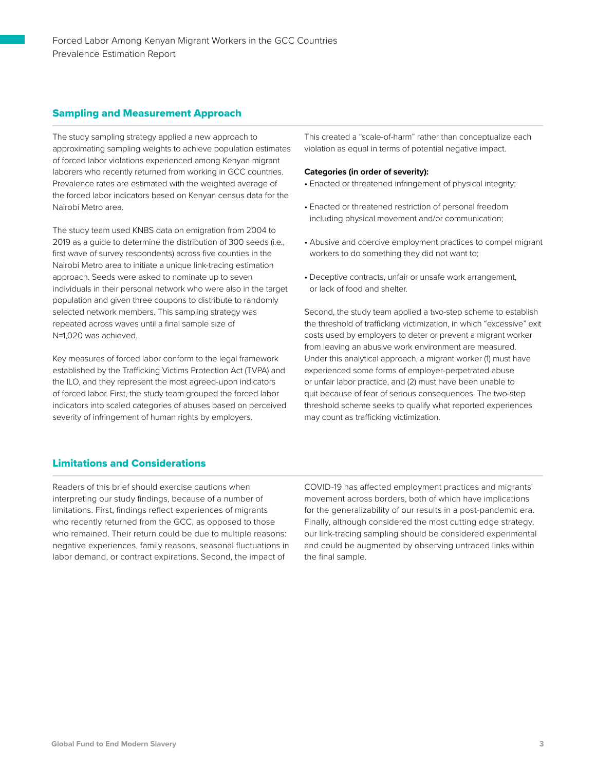# Sampling and Measurement Approach

The study sampling strategy applied a new approach to approximating sampling weights to achieve population estimates of forced labor violations experienced among Kenyan migrant laborers who recently returned from working in GCC countries. Prevalence rates are estimated with the weighted average of the forced labor indicators based on Kenyan census data for the Nairobi Metro area.

The study team used KNBS data on emigration from 2004 to 2019 as a guide to determine the distribution of 300 seeds (i.e., first wave of survey respondents) across five counties in the Nairobi Metro area to initiate a unique link-tracing estimation approach. Seeds were asked to nominate up to seven individuals in their personal network who were also in the target population and given three coupons to distribute to randomly selected network members. This sampling strategy was repeated across waves until a final sample size of N=1,020 was achieved.

Key measures of forced labor conform to the legal framework established by the Trafficking Victims Protection Act (TVPA) and the ILO, and they represent the most agreed-upon indicators of forced labor. First, the study team grouped the forced labor indicators into scaled categories of abuses based on perceived severity of infringement of human rights by employers.

This created a "scale-of-harm" rather than conceptualize each violation as equal in terms of potential negative impact.

## **Categories (in order of severity):**

- Enacted or threatened infringement of physical integrity;
- Enacted or threatened restriction of personal freedom including physical movement and/or communication;
- Abusive and coercive employment practices to compel migrant workers to do something they did not want to;
- Deceptive contracts, unfair or unsafe work arrangement, or lack of food and shelter.

Second, the study team applied a two-step scheme to establish the threshold of trafficking victimization, in which "excessive" exit costs used by employers to deter or prevent a migrant worker from leaving an abusive work environment are measured. Under this analytical approach, a migrant worker (1) must have experienced some forms of employer-perpetrated abuse or unfair labor practice, and (2) must have been unable to quit because of fear of serious consequences. The two-step threshold scheme seeks to qualify what reported experiences may count as trafficking victimization.

# Limitations and Considerations

Readers of this brief should exercise cautions when interpreting our study findings, because of a number of limitations. First, findings reflect experiences of migrants who recently returned from the GCC, as opposed to those who remained. Their return could be due to multiple reasons: negative experiences, family reasons, seasonal fluctuations in labor demand, or contract expirations. Second, the impact of

COVID-19 has affected employment practices and migrants' movement across borders, both of which have implications for the generalizability of our results in a post-pandemic era. Finally, although considered the most cutting edge strategy, our link-tracing sampling should be considered experimental and could be augmented by observing untraced links within the final sample.